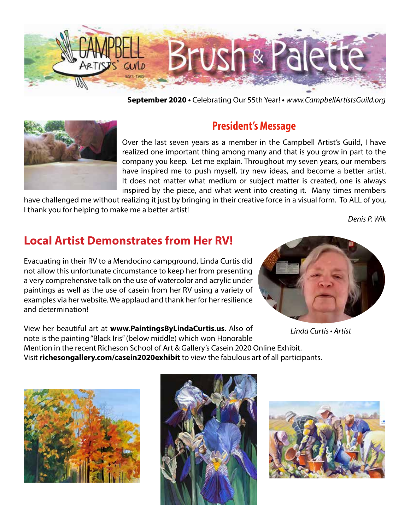

**September 2020 •** Celebrating Our 55th Year! **•** *www.CampbellArtistsGuild.org*



### **President's Message**

Over the last seven years as a member in the Campbell Artist's Guild, I have realized one important thing among many and that is you grow in part to the company you keep. Let me explain. Throughout my seven years, our members have inspired me to push myself, try new ideas, and become a better artist. It does not matter what medium or subject matter is created, one is always inspired by the piece, and what went into creating it. Many times members

have challenged me without realizing it just by bringing in their creative force in a visual form. To ALL of you, I thank you for helping to make me a better artist!

*Denis P. Wik*

## **Local Artist Demonstrates from Her RV!**

Evacuating in their RV to a Mendocino campground, Linda Curtis did not allow this unfortunate circumstance to keep her from presenting a very comprehensive talk on the use of watercolor and acrylic under paintings as well as the use of casein from her RV using a variety of examples via her website. We applaud and thank her for her resilience and determination!



Linda Curtis • Artist

View her beautiful art at **www.PaintingsByLindaCurtis.us**. Also of note is the painting "Black Iris" (below middle) which won Honorable Mention in the recent Richeson School of Art & Gallery's Casein 2020 Online Exhibit. Visit **richesongallery.com/casein2020exhibit** to view the fabulous art of all participants.





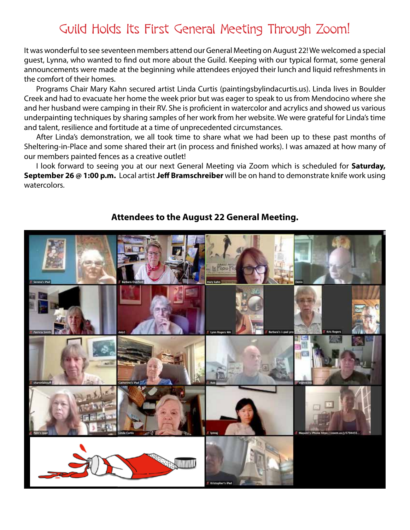## Guild Holds Its First General Meeting Through Zoom!

It was wonderful to see seventeen members attend our General Meeting on August 22! We welcomed a special guest, Lynna, who wanted to find out more about the Guild. Keeping with our typical format, some general announcements were made at the beginning while attendees enjoyed their lunch and liquid refreshments in the comfort of their homes.

Programs Chair Mary Kahn secured artist Linda Curtis (paintingsbylindacurtis.us). Linda lives in Boulder Creek and had to evacuate her home the week prior but was eager to speak to us from Mendocino where she and her husband were camping in their RV. She is proficient in watercolor and acrylics and showed us various underpainting techniques by sharing samples of her work from her website. We were grateful for Linda's time and talent, resilience and fortitude at a time of unprecedented circumstances.

After Linda's demonstration, we all took time to share what we had been up to these past months of Sheltering-in-Place and some shared their art (in process and finished works). I was amazed at how many of our members painted fences as a creative outlet!

I look forward to seeing you at our next General Meeting via Zoom which is scheduled for **Saturday, September 26 @ 1:00 p.m.** Local artist **Jeff Bramschreiber** will be on hand to demonstrate knife work using watercolors.



#### **Attendees to the August 22 General Meeting.**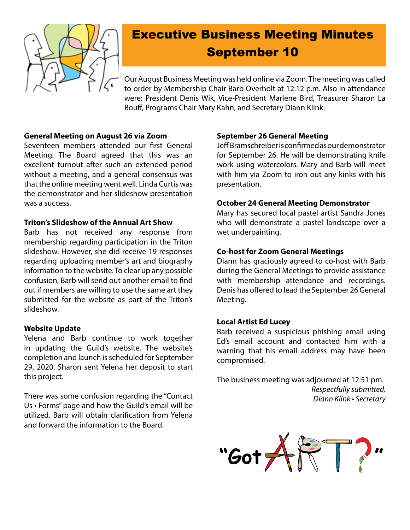

# Executive Business Meeting Minutes September 10

Our August Business Meeting was held online via Zoom. The meeting was called to order by Membership Chair Barb Overholt at 12:12 p.m. Also in attendance were: President Denis Wik, Vice-President Marlene Bird, Treasurer Sharon La Bouff, Programs Chair Mary Kahn, and Secretary Diann Klink.

#### **General Meeting on August 26 via Zoom**

Seventeen members attended our first General Meeting. The Board agreed that this was an excellent turnout after such an extended period without a meeting, and a general consensus was that the online meeting went well. Linda Curtis was the demonstrator and her slideshow presentation was a success.

#### **Triton's Slideshow of the Annual Art Show**

Barb has not received any response from membership regarding participation in the Triton slideshow. However, she did receive 19 responses regarding uploading member's art and biography information to the website. To clear up any possible confusion, Barb will send out another email to find out if members are willing to use the same art they submitted for the website as part of the Triton's slideshow.

#### **Website Update**

Yelena and Barb continue to work together in updating the Guild's website. The website's completion and launch is scheduled for September 29, 2020. Sharon sent Yelena her deposit to start this project.

There was some confusion regarding the "Contact Us • Forms" page and how the Guild's email will be utilized. Barb will obtain clarification from Yelena and forward the information to the Board.

#### **September 26 General Meeting**

Jeff Bramschreiber is confirmed as our demonstrator for September 26. He will be demonstrating knife work using watercolors. Mary and Barb will meet with him via Zoom to iron out any kinks with his presentation.

#### **October 24 General Meeting Demonstrator**

Mary has secured local pastel artist Sandra Jones who will demonstrate a pastel landscape over a wet underpainting.

#### **Co-host for Zoom General Meetings**

Diann has graciously agreed to co-host with Barb during the General Meetings to provide assistance with membership attendance and recordings. Denis has offered to lead the September 26 General Meeting.

#### **Local Artist Ed Lucey**

Barb received a suspicious phishing email using Ed's email account and contacted him with a warning that his email address may have been compromised.

The business meeting was adjourned at 12:51 pm. *Respectfully submitted,* Diann Klink • Secretary

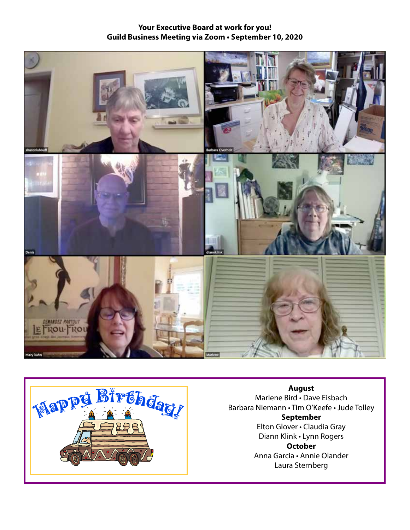#### **Your Executive Board at work for you! Guild Business Meeting via Zoom • September 10, 2020**





**August** Marlene Bird • Dave Eisbach Barbara Niemann • Tim O'Keefe • Jude Tolley **September** Elton Glover • Claudia Gray Diann Klink • Lynn Rogers **October** Anna Garcia • Annie Olander Laura Sternberg